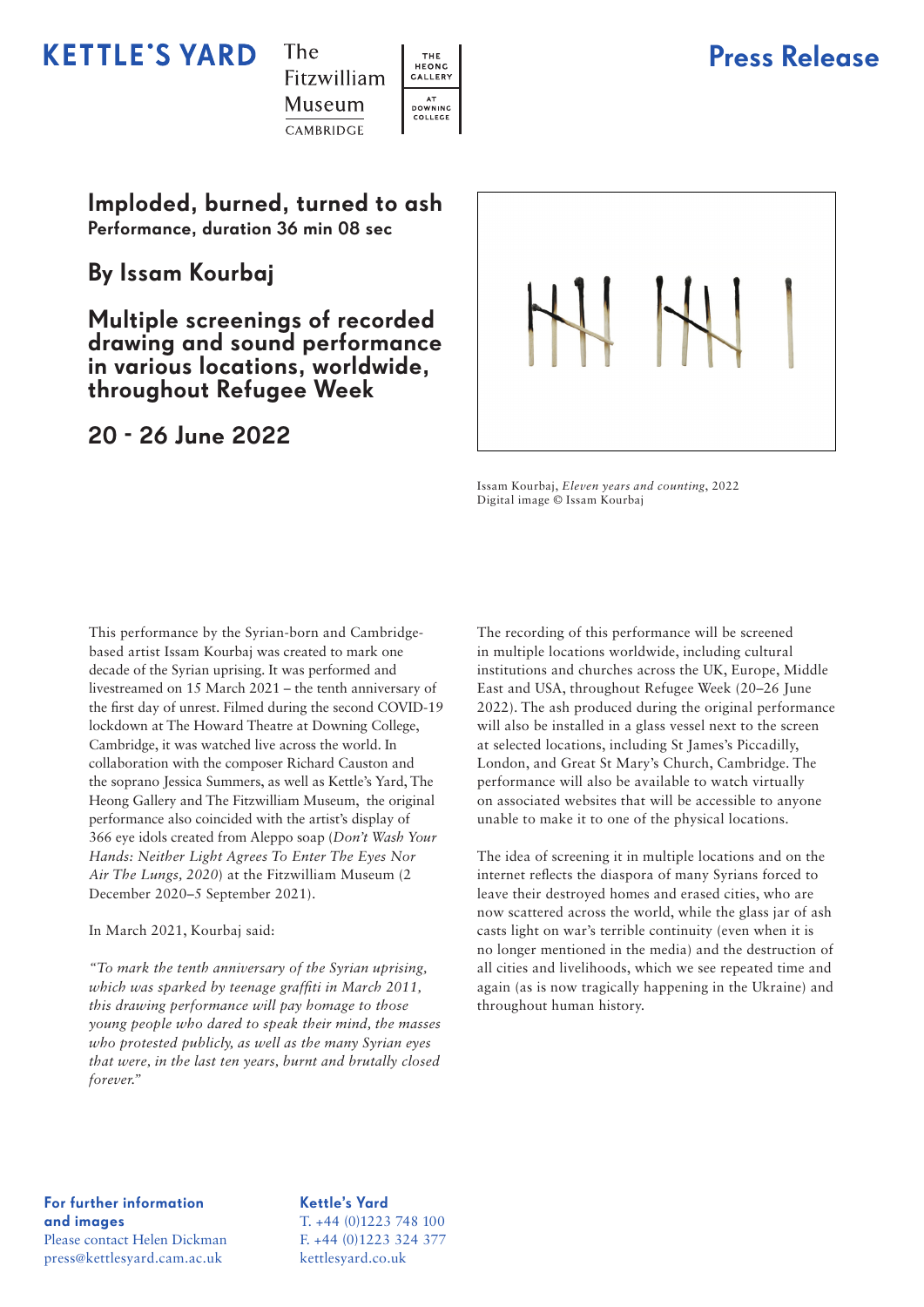## **KETTLE'S YARD**



THE<br>HEONG

CALLERY

AT<br>DOWNING<br>COLLEGE



Imploded, burned, turned to ash Performance, duration 36 min 08 sec

By Issam Kourbaj

Multiple screenings of recorded drawing and sound performance in various locations, worldwide, throughout Refugee Week

## 20 - 26 June 2022



Issam Kourbaj, *Eleven years and counting*, 2022 Digital image © Issam Kourbaj

This performance by the Syrian-born and Cambridgebased artist Issam Kourbaj was created to mark one decade of the Syrian uprising. It was performed and livestreamed on 15 March 2021 – the tenth anniversary of the first day of unrest. Filmed during the second COVID-19 lockdown at The Howard Theatre at Downing College, Cambridge, it was watched live across the world. In collaboration with the composer Richard Causton and the soprano Jessica Summers, as well as Kettle's Yard, The Heong Gallery and The Fitzwilliam Museum, the original performance also coincided with the artist's display of 366 eye idols created from Aleppo soap (*Don't Wash Your Hands: Neither Light Agrees To Enter The Eyes Nor Air The Lungs, 2020*) at the Fitzwilliam Museum (2 December 2020–5 September 2021).

#### In March 2021, Kourbaj said:

*"To mark the tenth anniversary of the Syrian uprising, which was sparked by teenage graffiti in March 2011, this drawing performance will pay homage to those young people who dared to speak their mind, the masses who protested publicly, as well as the many Syrian eyes that were, in the last ten years, burnt and brutally closed forever."*

The recording of this performance will be screened in multiple locations worldwide, including cultural institutions and churches across the UK, Europe, Middle East and USA, throughout Refugee Week (20–26 June 2022). The ash produced during the original performance will also be installed in a glass vessel next to the screen at selected locations, including St James's Piccadilly, London, and Great St Mary's Church, Cambridge. The performance will also be available to watch virtually on associated websites that will be accessible to anyone unable to make it to one of the physical locations.

The idea of screening it in multiple locations and on the internet reflects the diaspora of many Syrians forced to leave their destroyed homes and erased cities, who are now scattered across the world, while the glass jar of ash casts light on war's terrible continuity (even when it is no longer mentioned in the media) and the destruction of all cities and livelihoods, which we see repeated time and again (as is now tragically happening in the Ukraine) and throughout human history.

For further information and images Please contact Helen Dickman press@kettlesyard.cam.ac.uk

Kettle's Yard T. +44 (0)1223 748 100 F. +44 (0)1223 324 377 kettlesyard.co.uk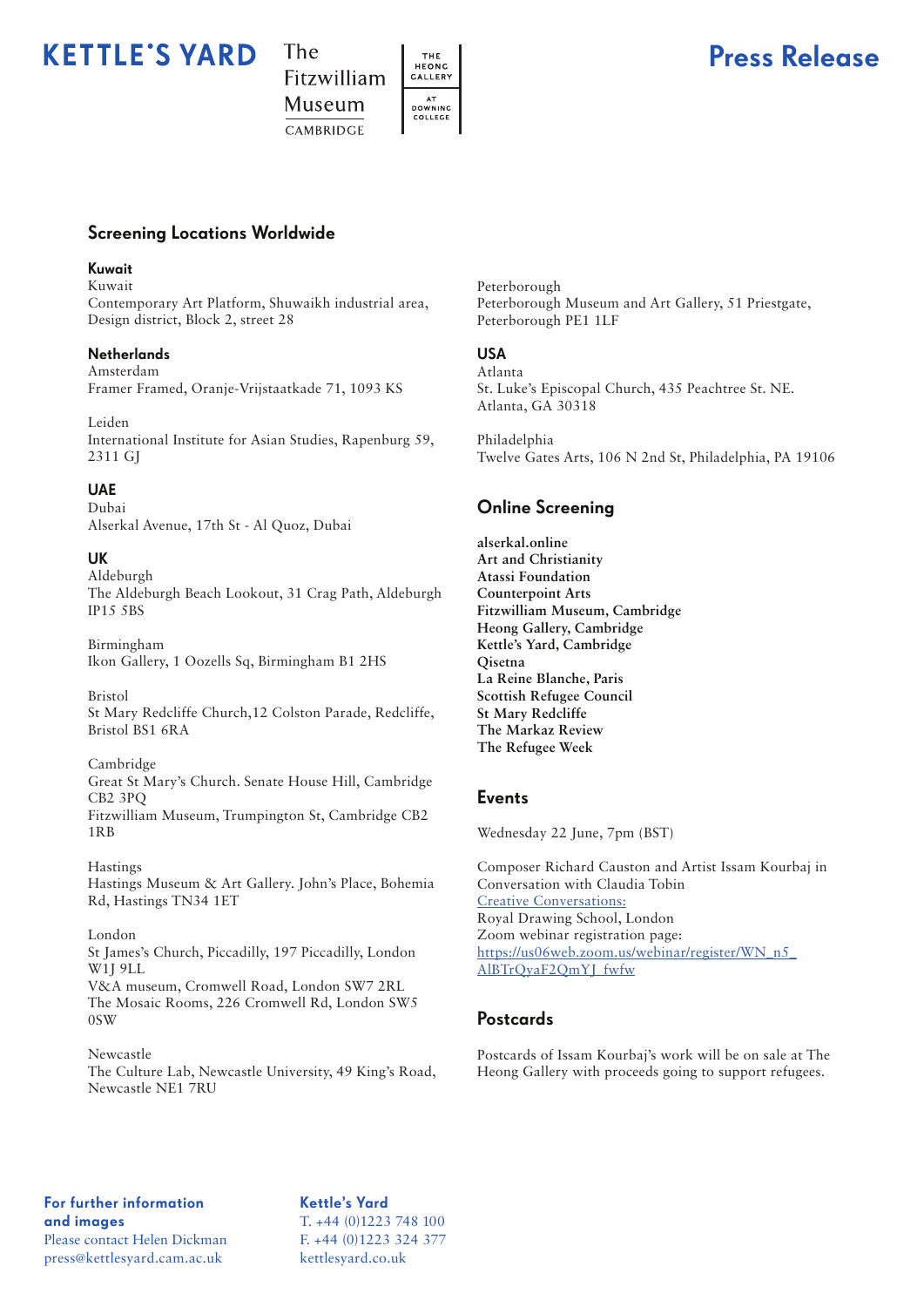## **KETTLE'S YARD**



THE<br>HEONG

CALLERY

AT<br>DOWNING<br>COLLEGE



### Screening Locations Worldwide

#### Kuwait

Kuwait Contemporary Art Platform, Shuwaikh industrial area, Design district, Block 2, street 28

#### **Netherlands**

Amsterdam Framer Framed, Oranje-Vrijstaatkade 71, 1093 KS

Leiden International Institute for Asian Studies, Rapenburg 59, 2311 GJ

#### UAE

Dubai Alserkal Avenue, 17th St - Al Quoz, Dubai

#### UK

Aldeburgh The Aldeburgh Beach Lookout, 31 Crag Path, Aldeburgh IP15 5BS

Birmingham Ikon Gallery, 1 Oozells Sq, Birmingham B1 2HS

Bristol St Mary Redcliffe Church,12 Colston Parade, Redcliffe, Bristol BS1 6RA

Cambridge Great St Mary's Church. Senate House Hill, Cambridge CB2 3PQ Fitzwilliam Museum, Trumpington St, Cambridge CB2 1RB

Hastings Hastings Museum & Art Gallery. John's Place, Bohemia Rd, Hastings TN34 1ET

#### London St James's Church, Piccadilly, 197 Piccadilly, London W1J 9LL V&A museum, Cromwell Road, London SW7 2RL

The Mosaic Rooms, 226 Cromwell Rd, London SW5 0SW

Newcastle The Culture Lab, Newcastle University, 49 King's Road, Newcastle NE1 7RU

Peterborough Peterborough Museum and Art Gallery, 51 Priestgate, Peterborough PE1 1LF

## USA

Atlanta St. Luke's Episcopal Church, 435 Peachtree St. NE. Atlanta, GA 30318

Philadelphia Twelve Gates Arts, 106 N 2nd St, Philadelphia, PA 19106

### Online Screening

**alserkal.online Art and Christianity Atassi Foundation Counterpoint Arts Fitzwilliam Museum, Cambridge Heong Gallery, Cambridge Kettle's Yard, Cambridge Qisetna La Reine Blanche, Paris Scottish Refugee Council St Mary Redcliffe The Markaz Review The Refugee Week**

#### Events

Wednesday 22 June, 7pm (BST)

Composer Richard Causton and Artist Issam Kourbaj in Conversation with Claudia Tobin Creative Conversations: Royal Drawing School, London Zoom webinar registration page: https://us06web.zoom.us/webinar/register/WN\_n5\_ AlBTrQyaF2QmYJ\_fwfw

### **Postcards**

Postcards of Issam Kourbaj's work will be on sale at The Heong Gallery with proceeds going to support refugees.

For further information and images Please contact Helen Dickman press@kettlesyard.cam.ac.uk

Kettle's Yard T. +44 (0)1223 748 100 F. +44 (0)1223 324 377 kettlesyard.co.uk